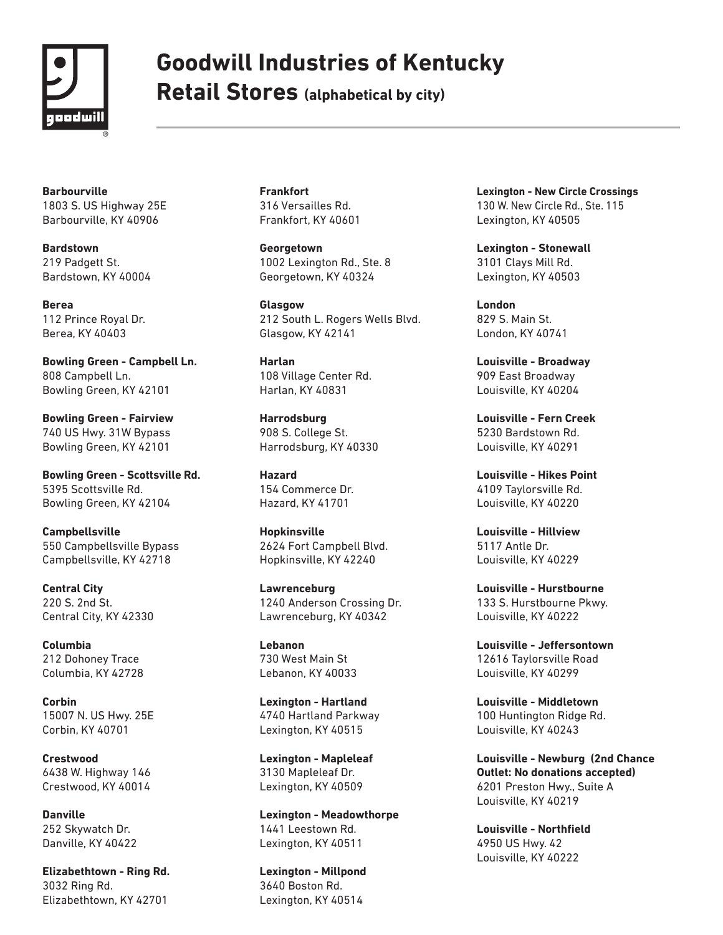

## **Goodwill Industries of Kentucky**

**Retail Stores (alphabetical by city)**

**Barbourville** 1803 S. US Highway 25E Barbourville, KY 40906

**Bardstown**  219 Padgett St. Bardstown, KY 40004

**Berea**  112 Prince Royal Dr. Berea, KY 40403

**Bowling Green - Campbell Ln.** 808 Campbell Ln. Bowling Green, KY 42101

**Bowling Green - Fairview** 740 US Hwy. 31W Bypass Bowling Green, KY 42101

**Bowling Green - Scottsville Rd.**  5395 Scottsville Rd. Bowling Green, KY 42104

**Campbellsville** 550 Campbellsville Bypass Campbellsville, KY 42718

**Central City**  220 S. 2nd St. Central City, KY 42330

**Columbia** 212 Dohoney Trace Columbia, KY 42728

**Corbin**  15007 N. US Hwy. 25E Corbin, KY 40701

**Crestwood** 6438 W. Highway 146 Crestwood, KY 40014

**Danville** 252 Skywatch Dr. Danville, KY 40422

**Elizabethtown - Ring Rd.** 3032 Ring Rd. Elizabethtown, KY 42701

**Frankfort** 316 Versailles Rd. Frankfort, KY 40601

**Georgetown** 1002 Lexington Rd., Ste. 8 Georgetown, KY 40324

**Glasgow** 212 South L. Rogers Wells Blvd. Glasgow, KY 42141

**Harlan**  108 Village Center Rd. Harlan, KY 40831

**Harrodsburg** 908 S. College St. Harrodsburg, KY 40330

**Hazard** 154 Commerce Dr. Hazard, KY 41701

**Hopkinsville**  2624 Fort Campbell Blvd. Hopkinsville, KY 42240

**Lawrenceburg** 1240 Anderson Crossing Dr. Lawrenceburg, KY 40342

**Lebanon** 730 West Main St Lebanon, KY 40033

**Lexington - Hartland** 4740 Hartland Parkway Lexington, KY 40515

**Lexington - Mapleleaf**  3130 Mapleleaf Dr. Lexington, KY 40509

**Lexington - Meadowthorpe** 1441 Leestown Rd. Lexington, KY 40511

**Lexington - Millpond** 3640 Boston Rd. Lexington, KY 40514

**Lexington - New Circle Crossings** 130 W. New Circle Rd., Ste. 115 Lexington, KY 40505

**Lexington - Stonewall**  3101 Clays Mill Rd. Lexington, KY 40503

**London**  829 S. Main St. London, KY 40741

**Louisville - Broadway** 909 East Broadway Louisville, KY 40204

**Louisville - Fern Creek**  5230 Bardstown Rd. Louisville, KY 40291

**Louisville - Hikes Point** 4109 Taylorsville Rd. Louisville, KY 40220

**Louisville - Hillview** 5117 Antle Dr. Louisville, KY 40229

**Louisville - Hurstbourne**  133 S. Hurstbourne Pkwy. Louisville, KY 40222

**Louisville - Jeffersontown** 12616 Taylorsville Road Louisville, KY 40299

**Louisville - Middletown** 100 Huntington Ridge Rd. Louisville, KY 40243

**Louisville - Newburg (2nd Chance Outlet: No donations accepted)** 6201 Preston Hwy., Suite A Louisville, KY 40219

**Louisville - Northfield** 4950 US Hwy. 42 Louisville, KY 40222